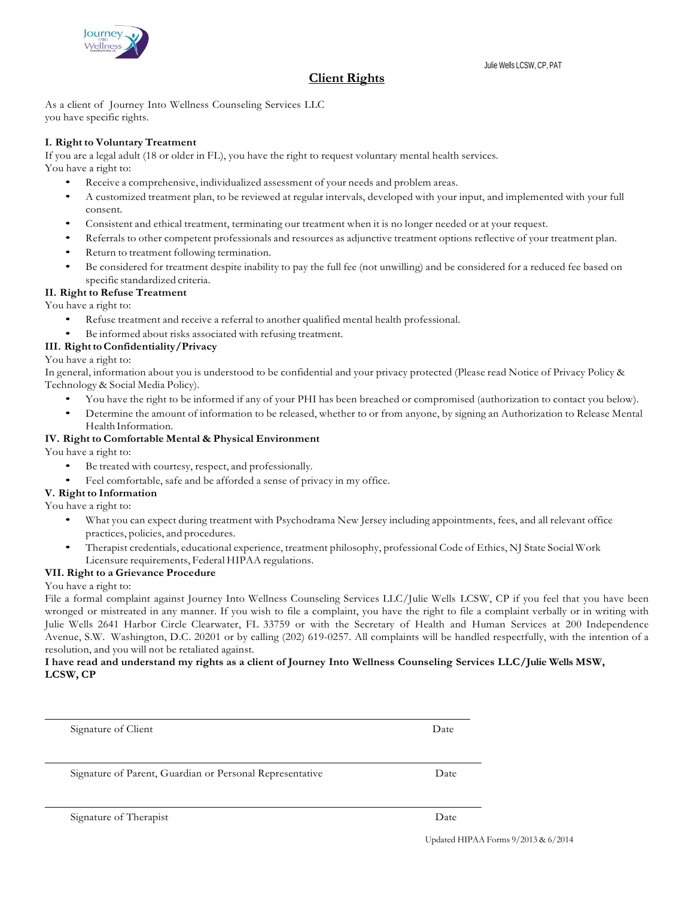

# **Client Rights**

As a client of Journey Into Wellness Counseling Services LLC you have specific rights.

## **I. Right to Voluntary Treatment**

If you are a legal adult (18 or older in FL), you have the right to request voluntary mental health services. You have a right to:

- Receive a comprehensive, individualized assessment of your needs and problem areas.
- A customized treatment plan, to be reviewed at regular intervals, developed with your input, and implemented with your full consent.
- Consistent and ethical treatment, terminating our treatment when it is no longer needed or at your request.
- Referrals to other competent professionals and resources as adjunctive treatment options reflective of your treatment plan.
- Return to treatment following termination.
- Be considered for treatment despite inability to pay the full fee (not unwilling) and be considered for a reduced fee based on specific standardized criteria.

## **II. Right to Refuse Treatment**

You have a right to:

- Refuse treatment and receive a referral to another qualified mental health professional.
- Be informed about risks associated with refusing treatment.

## **III. RighttoConfidentiality/Privacy**

You have a right to:

In general, information about you is understood to be confidential and your privacy protected (Please read Notice of Privacy Policy & Technology & Social Media Policy).

- You have the right to be informed if any of your PHI has been breached or compromised (authorization to contact you below).
- Determine the amount of information to be released, whether to or from anyone, by signing an Authorization to Release Mental Health Information.

## **IV. Right to Comfortable Mental & Physical Environment**

You have a right to:

- Be treated with courtesy, respect, and professionally.
- Feel comfortable, safe and be afforded a sense of privacy in my office.

## **V. Right to Information**

You have a right to:

- What you can expect during treatment with Psychodrama New Jersey including appointments, fees, and all relevant office practices, policies, and procedures.
- Therapist credentials, educational experience, treatment philosophy, professional Code of Ethics, NJ State Social Work Licensure requirements, Federal HIPAA regulations.

## **VII. Right to a Grievance Procedure**

#### You have a right to:

File a formal complaint against Journey Into Wellness Counseling Services LLC/Julie Wells LCSW, CP if you feel that you have been wronged or mistreated in any manner. If you wish to file a complaint, you have the right to file a complaint verbally or in writing with Julie Wells 2641 Harbor Circle Clearwater, FL 33759 or with the Secretary of Health and Human Services at 200 Independence Avenue, S.W. Washington, D.C. 20201 or by calling (202) 619-0257. All complaints will be handled respectfully, with the intention of a resolution, and you will not be retaliated against.

## **I have read and understand my rights as a client of Journey Into Wellness Counseling Services LLC/Julie Wells MSW, LCSW, CP**

| Signature of Client                                      | Date |
|----------------------------------------------------------|------|
| Signature of Parent, Guardian or Personal Representative | Date |